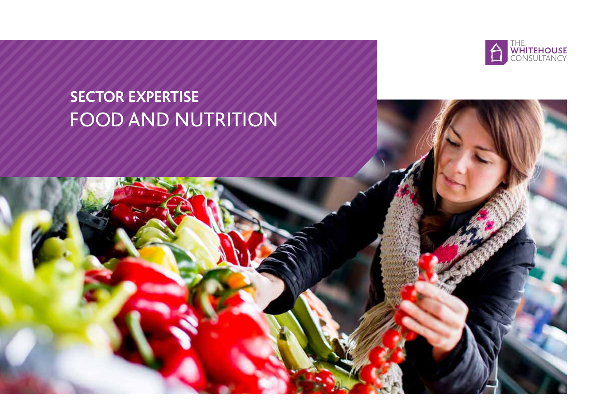

## **SECTOR EXPERTISE** FOOD AND NUTRITION

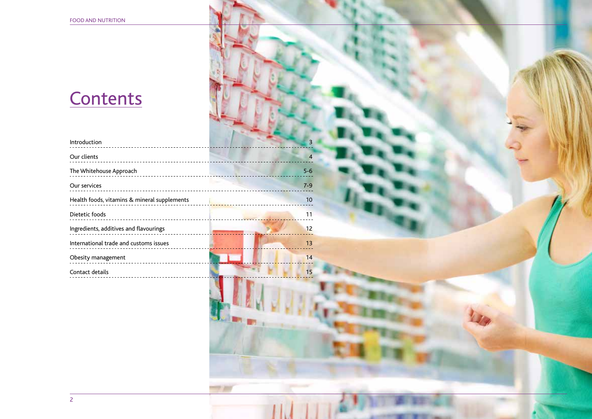### **Contents**

| Introduction                                 |         |
|----------------------------------------------|---------|
| Our clients<br>_______________________       | 4       |
| The Whitehouse Approach                      | $5-6$   |
| Our services                                 | $7 - 9$ |
| Health foods, vitamins & mineral supplements | 10      |
| Dietetic foods                               | 11      |
| Ingredients, additives and flavourings       | 12      |
| International trade and customs issues       | 13      |
| Obesity management                           | 14      |
| Contact details                              | 15      |
|                                              |         |

**In** ×

- -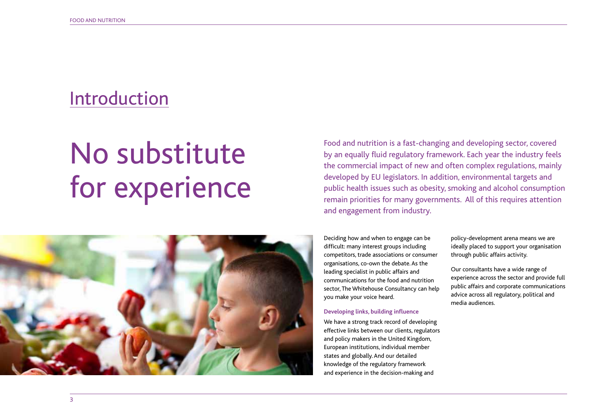### Introduction

# No substitute for experience



Food and nutrition is a fast-changing and developing sector, covered by an equally fluid regulatory framework. Each year the industry feels the commercial impact of new and often complex regulations, mainly developed by EU legislators. In addition, environmental targets and public health issues such as obesity, smoking and alcohol consumption remain priorities for many governments. All of this requires attention and engagement from industry.

Deciding how and when to engage can be difficult: many interest groups including competitors, trade associations or consumer organisations, co-own the debate. As the leading specialist in public affairs and communications for the food and nutrition sector, The Whitehouse Consultancy can help you make your voice heard.

#### **Developing links, building influence**

We have a strong track record of developing effective links between our clients, regulators and policy makers in the United Kingdom, European institutions, individual member states and globally. And our detailed knowledge of the regulatory framework and experience in the decision-making and

policy-development arena means we are ideally placed to support your organisation through public affairs activity.

Our consultants have a wide range of experience across the sector and provide full public affairs and corporate communications advice across all regulatory, political and media audiences.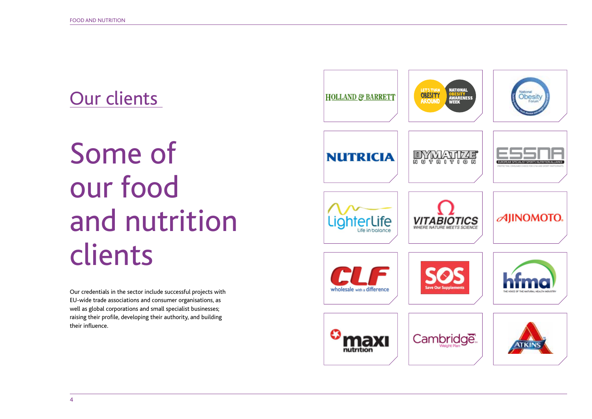### Our clients

# Some of our food and nutrition clients

Our credentials in the sector include successful projects with EU-wide trade associations and consumer organisations, as well as global corporations and small specialist businesses; raising their profile, developing their authority, and building their influence.

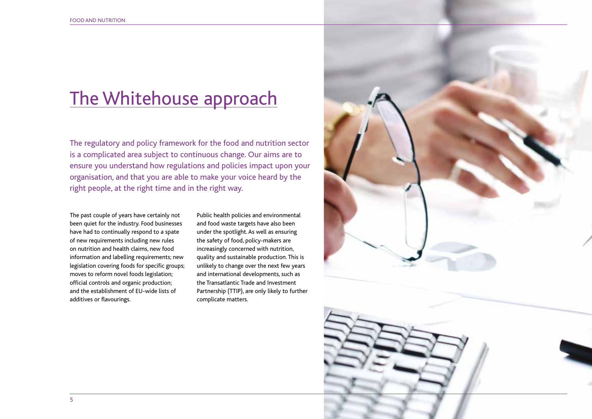### The Whitehouse approach

The regulatory and policy framework for the food and nutrition sector is a complicated area subject to continuous change. Our aims are to ensure you understand how regulations and policies impact upon your organisation, and that you are able to make your voice heard by the right people, at the right time and in the right way.

The past couple of years have certainly not been quiet for the industry. Food businesses have had to continually respond to a spate of new requirements including new rules on nutrition and health claims, new food information and labelling requirements; new legislation covering foods for specific groups; moves to reform novel foods legislation; official controls and organic production; and the establishment of EU-wide lists of additives or flavourings.

Public health policies and environmental and food waste targets have also been under the spotlight. As well as ensuring the safety of food, policy-makers are increasingly concerned with nutrition, quality and sustainable production. This is unlikely to change over the next few years and international developments, such as the Transatlantic Trade and Investment Partnership (TTIP), are only likely to further complicate matters.

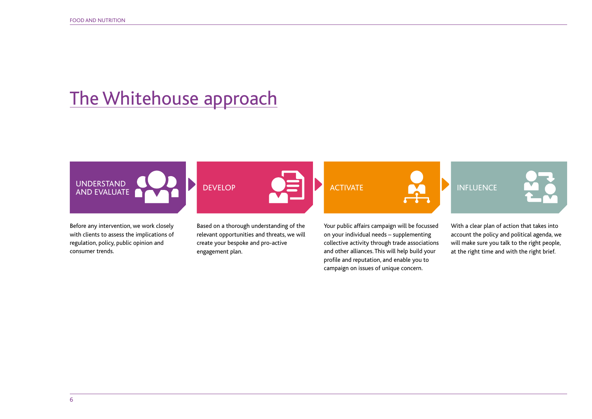### The Whitehouse approach



Before any intervention, we work closely with clients to assess the implications of regulation, policy, public opinion and consumer trends.

Based on a thorough understanding of the relevant opportunities and threats, we will create your bespoke and pro-active engagement plan.

Your public affairs campaign will be focussed on your individual needs – supplementing collective activity through trade associations and other alliances. This will help build your profile and reputation, and enable you to campaign on issues of unique concern.

With a clear plan of action that takes into account the policy and political agenda, we will make sure you talk to the right people, at the right time and with the right brief.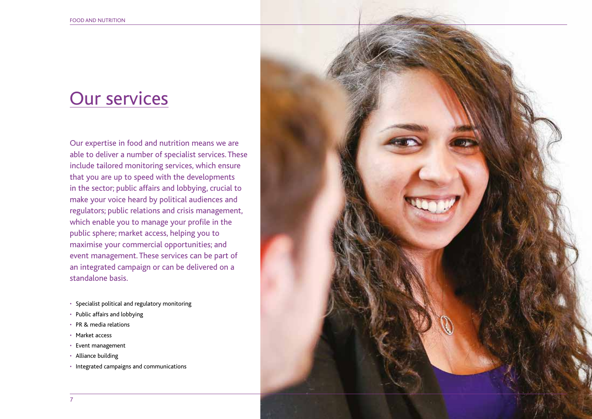### Our services

Our expertise in food and nutrition means we are able to deliver a number of specialist services. These include tailored monitoring services, which ensure that you are up to speed with the developments in the sector; public affairs and lobbying, crucial to make your voice heard by political audiences and regulators; public relations and crisis management, which enable you to manage your profile in the public sphere; market access, helping you to maximise your commercial opportunities; and event management. These services can be part of an integrated campaign or can be delivered on a standalone basis.

- Specialist political and regulatory monitoring
- Public affairs and lobbying
- PR & media relations
- Market access
- Event management
- Alliance building
- Integrated campaigns and communications

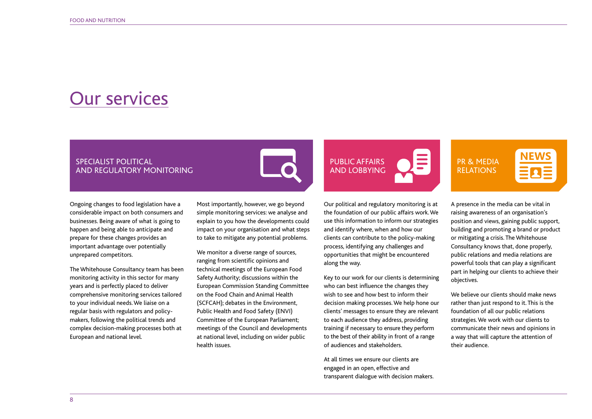### Our services

### SPECIALIST POLITICAL AND REGULATORY MONITORING

Ongoing changes to food legislation have a considerable impact on both consumers and businesses. Being aware of what is going to happen and being able to anticipate and prepare for these changes provides an important advantage over potentially unprepared competitors.

The Whitehouse Consultancy team has been monitoring activity in this sector for many years and is perfectly placed to deliver comprehensive monitoring services tailored to your individual needs. We liaise on a regular basis with regulators and policymakers, following the political trends and complex decision-making processes both at European and national level.

Most importantly, however, we go beyond simple monitoring services: we analyse and explain to you how the developments could impact on your organisation and what steps to take to mitigate any potential problems.

We monitor a diverse range of sources, ranging from scientific opinions and technical meetings of the European Food Safety Authority; discussions within the European Commission Standing Committee on the Food Chain and Animal Health (SCFCAH); debates in the Environment, Public Health and Food Safety (ENVI) Committee of the European Parliament; meetings of the Council and developments at national level, including on wider public health issues.



Our political and regulatory monitoring is at the foundation of our public affairs work. We use this information to inform our strategies and identify where, when and how our clients can contribute to the policy-making process, identifying any challenges and opportunities that might be encountered along the way.

Key to our work for our clients is determining who can best influence the changes they wish to see and how best to inform their decision making processes. We help hone our clients' messages to ensure they are relevant to each audience they address, providing training if necessary to ensure they perform to the best of their ability in front of a range of audiences and stakeholders.

At all times we ensure our clients are engaged in an open, effective and transparent dialogue with decision makers.

### PR & MEDIA RELATIONS

A presence in the media can be vital in raising awareness of an organisation's position and views, gaining public support, building and promoting a brand or product or mitigating a crisis. The Whitehouse Consultancy knows that, done properly, public relations and media relations are powerful tools that can play a significant part in helping our clients to achieve their objectives.

We believe our clients should make news rather than just respond to it. This is the foundation of all our public relations strategies. We work with our clients to communicate their news and opinions in a way that will capture the attention of their audience.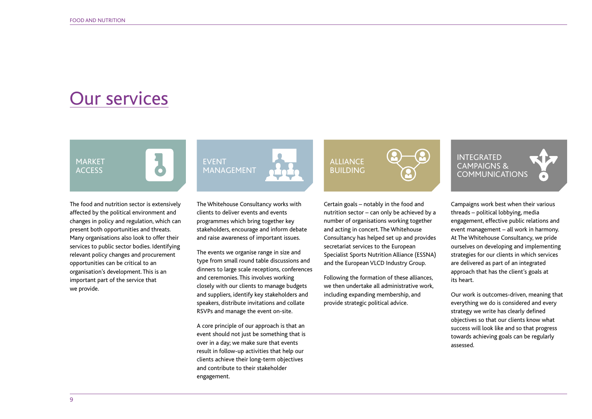MARKET **ACCESS** 

### Our services

The food and nutrition sector is extensively affected by the political environment and changes in policy and regulation, which can present both opportunities and threats. Many organisations also look to offer their services to public sector bodies. Identifying relevant policy changes and procurement

opportunities can be critical to an organisation's development. This is an important part of the service that we provide.



The Whitehouse Consultancy works with clients to deliver events and events programmes which bring together key stakeholders, encourage and inform debate and raise awareness of important issues.

The events we organise range in size and type from small round table discussions and dinners to large scale receptions, conferences and ceremonies. This involves working closely with our clients to manage budgets and suppliers, identify key stakeholders and speakers, distribute invitations and collate RSVPs and manage the event on-site.

A core principle of our approach is that an event should not just be something that is over in a day; we make sure that events result in follow-up activities that help our clients achieve their long-term objectives and contribute to their stakeholder engagement.



Certain goals – notably in the food and nutrition sector – can only be achieved by a number of organisations working together and acting in concert. The Whitehouse Consultancy has helped set up and provides secretariat services to the European Specialist Sports Nutrition Alliance (ESSNA) and the European VLCD Industry Group.

Following the formation of these alliances, we then undertake all administrative work, including expanding membership, and provide strategic political advice.

INTEGRATED CAMPAIGNS & **COMMUNICATIONS** 

Campaigns work best when their various threads – political lobbying, media engagement, effective public relations and event management – all work in harmony. At The Whitehouse Consultancy, we pride ourselves on developing and implementing strategies for our clients in which services are delivered as part of an integrated approach that has the client's goals at its heart.

Our work is outcomes-driven, meaning that everything we do is considered and every strategy we write has clearly defined objectives so that our clients know what success will look like and so that progress towards achieving goals can be regularly assessed.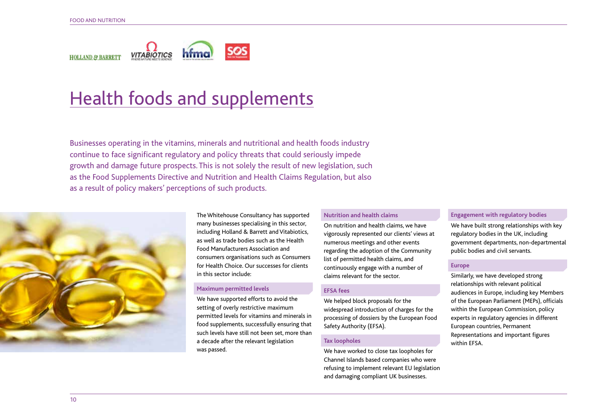

### Health foods and supplements

Businesses operating in the vitamins, minerals and nutritional and health foods industry continue to face significant regulatory and policy threats that could seriously impede growth and damage future prospects. This is not solely the result of new legislation, such as the Food Supplements Directive and Nutrition and Health Claims Regulation, but also as a result of policy makers' perceptions of such products.



The Whitehouse Consultancy has supported many businesses specialising in this sector, including Holland & Barrett and Vitabiotics, as well as trade bodies such as the Health Food Manufacturers Association and consumers organisations such as Consumers for Health Choice. Our successes for clients in this sector include:

#### **Maximum permitted levels**

We have supported efforts to avoid the setting of overly restrictive maximum permitted levels for vitamins and minerals in food supplements, successfully ensuring that such levels have still not been set, more than a decade after the relevant legislation was passed.

#### **Nutrition and health claims**

On nutrition and health claims, we have vigorously represented our clients' views at numerous meetings and other events regarding the adoption of the Community list of permitted health claims, and continuously engage with a number of claims relevant for the sector.

### **EFSA fees**

We helped block proposals for the widespread introduction of charges for the processing of dossiers by the European Food Safety Authority (EFSA).

#### **Tax loopholes**

We have worked to close tax loopholes for Channel Islands based companies who were refusing to implement relevant EU legislation and damaging compliant UK businesses.

### **Engagement with regulatory bodies**

We have built strong relationships with key regulatory bodies in the UK, including government departments, non-departmental public bodies and civil servants.

#### **Europe**

Similarly, we have developed strong relationships with relevant political audiences in Europe, including key Members of the European Parliament (MEPs), officials within the European Commission, policy experts in regulatory agencies in different European countries, Permanent Representations and important figures within EFSA.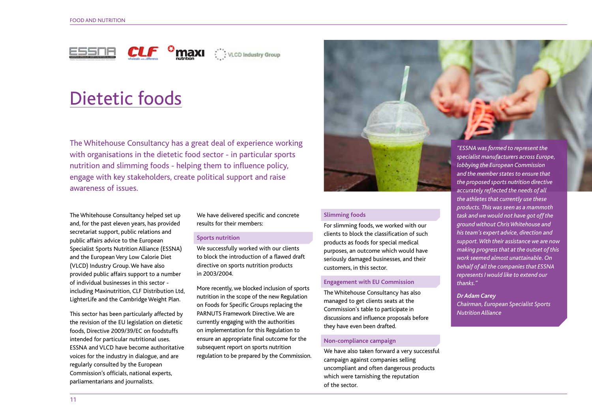



### Dietetic foods

The Whitehouse Consultancy has a great deal of experience working with organisations in the dietetic food sector - in particular sports nutrition and slimming foods - helping them to influence policy, engage with key stakeholders, create political support and raise awareness of issues.

The Whitehouse Consultancy helped set up and, for the past eleven years, has provided secretariat support, public relations and public affairs advice to the European Specialist Sports Nutrition Alliance (ESSNA) and the European Very Low Calorie Diet (VLCD) Industry Group. We have also provided public affairs support to a number of individual businesses in this sector including Maxinutrition, CLF Distribution Ltd, LighterLife and the Cambridge Weight Plan.

This sector has been particularly affected by the revision of the EU legislation on dietetic foods, Directive 2009/39/EC on foodstuffs intended for particular nutritional uses. ESSNA and VLCD have become authoritative voices for the industry in dialogue, and are regularly consulted by the European Commission's officials, national experts, parliamentarians and journalists.

We have delivered specific and concrete results for their members:

#### **Sports nutrition**

We successfully worked with our clients to block the introduction of a flawed draft directive on sports nutrition products in 2003/2004.

More recently, we blocked inclusion of sports nutrition in the scope of the new Regulation on Foods for Specific Groups replacing the PARNUTS Framework Directive. We are currently engaging with the authorities on implementation for this Regulation to ensure an appropriate final outcome for the subsequent report on sports nutrition regulation to be prepared by the Commission.



#### **Slimming foods**

For slimming foods, we worked with our clients to block the classification of such products as foods for special medical purposes, an outcome which would have seriously damaged businesses, and their customers, in this sector.

#### **Engagement with EU Commission**

The Whitehouse Consultancy has also managed to get clients seats at the Commission's table to participate in discussions and influence proposals before they have even been drafted.

#### **Non-compliance campaign**

We have also taken forward a very successful campaign against companies selling uncompliant and often dangerous products which were tarnishing the reputation of the sector.

*"ESSNA was formed to represent the specialist manufacturers across Europe, lobbying the European Commission and the member states to ensure that the proposed sports nutrition directive accurately reflected the needs of all the athletes that currently use these products. This was seen as a mammoth task and we would not have got off the ground without Chris Whitehouse and his team's expert advice, direction and support. With their assistance we are now making progress that at the outset of this work seemed almost unattainable. On behalf of all the companies that ESSNA represents I would like to extend our thanks."*

*Dr Adam Carey Chairman, European Specialist Sports Nutrition Alliance*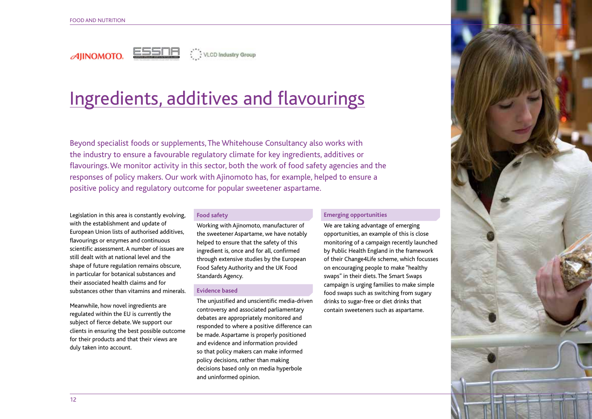

VLCD Industry Group

## Ingredients, additives and flavourings

Beyond specialist foods or supplements, The Whitehouse Consultancy also works with the industry to ensure a favourable regulatory climate for key ingredients, additives or flavourings. We monitor activity in this sector, both the work of food safety agencies and the responses of policy makers. Our work with Ajinomoto has, for example, helped to ensure a positive policy and regulatory outcome for popular sweetener aspartame.

Legislation in this area is constantly evolving, with the establishment and update of European Union lists of authorised additives, flavourings or enzymes and continuous scientific assessment. A number of issues are still dealt with at national level and the shape of future regulation remains obscure, in particular for botanical substances and their associated health claims and for substances other than vitamins and minerals.

Meanwhile, how novel ingredients are regulated within the EU is currently the subject of fierce debate. We support our clients in ensuring the best possible outcome for their products and that their views are duly taken into account.

### **Food safety**

Working with Ajinomoto, manufacturer of the sweetener Aspartame, we have notably helped to ensure that the safety of this ingredient is, once and for all, confirmed through extensive studies by the European Food Safety Authority and the UK Food Standards Agency.

### **Evidence based**

The unjustified and unscientific media-driven controversy and associated parliamentary debates are appropriately monitored and responded to where a positive difference can be made. Aspartame is properly positioned and evidence and information provided so that policy makers can make informed policy decisions, rather than making decisions based only on media hyperbole and uninformed opinion.

#### **Emerging opportunities**

We are taking advantage of emerging opportunities, an example of this is close monitoring of a campaign recently launched by Public Health England in the framework of their Change4Life scheme, which focusses on encouraging people to make "healthy swaps" in their diets. The Smart Swaps campaign is urging families to make simple food swaps such as switching from sugary drinks to sugar-free or diet drinks that contain sweeteners such as aspartame.

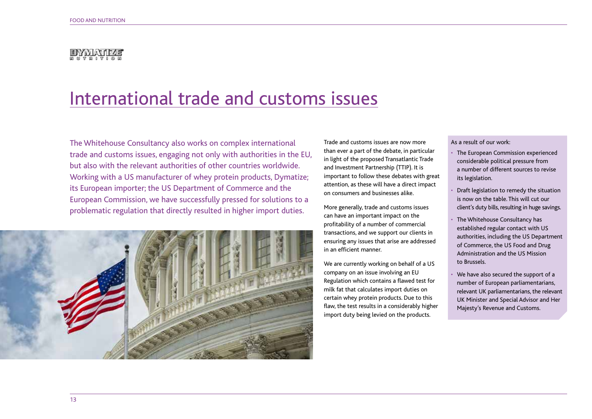### DAYMAJ0745

### International trade and customs issues

The Whitehouse Consultancy also works on complex international trade and customs issues, engaging not only with authorities in the EU, but also with the relevant authorities of other countries worldwide. Working with a US manufacturer of whey protein products, Dymatize; its European importer; the US Department of Commerce and the European Commission, we have successfully pressed for solutions to a problematic regulation that directly resulted in higher import duties.



Trade and customs issues are now more than ever a part of the debate, in particular in light of the proposed Transatlantic Trade and Investment Partnership (TTIP). It is important to follow these debates with great attention, as these will have a direct impact on consumers and businesses alike.

More generally, trade and customs issues can have an important impact on the profitability of a number of commercial transactions, and we support our clients in ensuring any issues that arise are addressed in an efficient manner.

We are currently working on behalf of a US company on an issue involving an EU Regulation which contains a flawed test for milk fat that calculates import duties on certain whey protein products. Due to this flaw, the test results in a considerably higher import duty being levied on the products.

#### As a result of our work:

- The European Commission experienced considerable political pressure from a number of different sources to revise its legislation.
- Draft legislation to remedy the situation is now on the table. This will cut our client's duty bills, resulting in huge savings.
- The Whitehouse Consultancy has established regular contact with US authorities, including the US Department of Commerce, the US Food and Drug Administration and the US Mission to Brussels.
- We have also secured the support of a number of European parliamentarians, relevant UK parliamentarians, the relevant UK Minister and Special Advisor and Her Majesty's Revenue and Customs.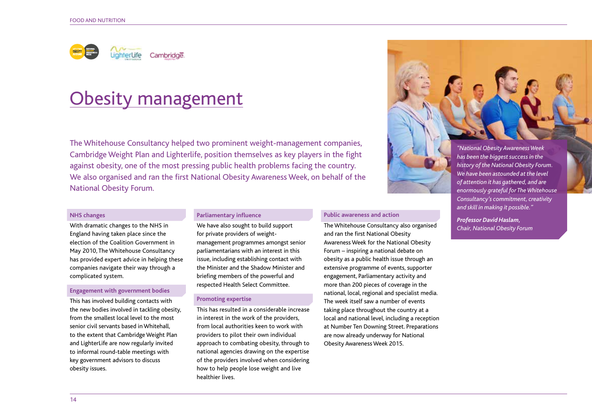

### Obesity management

The Whitehouse Consultancy helped two prominent weight-management companies, Cambridge Weight Plan and Lighterlife, position themselves as key players in the fight against obesity, one of the most pressing public health problems facing the country. We also organised and ran the first National Obesity Awareness Week, on behalf of the National Obesity Forum.

#### **NHS changes**

With dramatic changes to the NHS in England having taken place since the election of the Coalition Government in May 2010, The Whitehouse Consultancy has provided expert advice in helping these companies navigate their way through a complicated system.

#### **Engagement with government bodies**

This has involved building contacts with the new bodies involved in tackling obesity, from the smallest local level to the most senior civil servants based in Whitehall, to the extent that Cambridge Weight Plan and LighterLife are now regularly invited to informal round-table meetings with key government advisors to discuss obesity issues.

#### **Parliamentary influence**

We have also sought to build support for private providers of weightmanagement programmes amongst senior parliamentarians with an interest in this issue, including establishing contact with the Minister and the Shadow Minister and briefing members of the powerful and respected Health Select Committee.

### **Promoting expertise**

This has resulted in a considerable increase in interest in the work of the providers, from local authorities keen to work with providers to pilot their own individual approach to combating obesity, through to national agencies drawing on the expertise of the providers involved when considering how to help people lose weight and live healthier lives.

#### **Public awareness and action**

The Whitehouse Consultancy also organised and ran the first National Obesity Awareness Week for the National Obesity Forum – inspiring a national debate on obesity as a public health issue through an extensive programme of events, supporter engagement, Parliamentary activity and more than 200 pieces of coverage in the national, local, regional and specialist media. The week itself saw a number of events taking place throughout the country at a local and national level, including a reception at Number Ten Downing Street. Preparations are now already underway for National Obesity Awareness Week 2015.



*history of the National Obesity Forum. We have been astounded at the level of attention it has gathered, and are enormously grateful for The Whitehouse Consultancy's commitment, creativity and skill in making it possible."* 

*Professor David Haslam, Chair, National Obesity Forum*